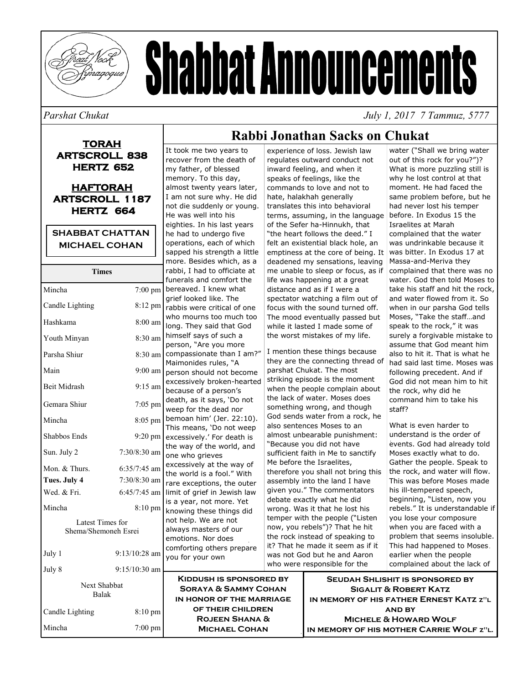

# **Shabbat Announcements**

*Parshat Chukat July 1, 2017 7 Tammuz, 5777* 

#### **TORAH ARTSCROLL 838 HERTZ 652**

#### **HAFTORAH ARTSCROLL 1187 HERTZ 664**

#### **SHABBAT CHATTAN MICHAEL COHAN**

| <b>Times</b>                        |                   |             |
|-------------------------------------|-------------------|-------------|
| Mincha                              | 7:00 pm           | fun<br>ber  |
| Candle Lighting                     | 8:12 pm           | grie<br>rab |
| Hashkama                            | $8:00$ am         | who<br>lon  |
| Youth Minyan                        | 8:30 am           | him<br>per  |
| Parsha Shiur                        | 8:30 am           | con         |
| Main                                | $9:00$ am         | Mai<br>per  |
| Beit Midrash                        | 9:15 am           | exc<br>bec  |
| Gemara Shiur                        | $7:05$ pm         | dea<br>wee  |
| Mincha                              | $8:05$ pm         | ber<br>Thi: |
| Shabbos Ends                        | 9:20 pm           | exc         |
| Sun. July 2                         | 7:30/8:30 am      | the<br>one  |
| Mon. & Thurs.                       | $6:35/7:45$ am    | exc         |
| Tues. July 4                        | $7:30/8:30$ am    | the<br>rar  |
| Wed. & Fri.                         | $6:45/7:45$ am    | limi        |
| Mincha                              | $8:10 \text{ pm}$ | is a<br>knc |
| Latest Times for                    |                   |             |
| Shema/Shemoneh Esrei                |                   |             |
|                                     |                   |             |
| July 1                              | $9:13/10:28$ am   |             |
| July 8                              | 9:15/10:30 am     | you         |
|                                     |                   |             |
| <b>Next Shabbat</b><br><b>Balak</b> |                   |             |
| Candle Lighting                     | 8:10 pm           | Ī           |
|                                     |                   |             |

#### It took me two years to recover from the death of my father, of blessed memory. To this day, almost twenty years later, I am not sure why. He did not die suddenly or young. He was well into his eighties. In his last years he had to undergo five operations, each of which sapped his strength a little more. Besides which, as a bi, I had to officiate at erals and comfort the eaved. I knew what ef looked like. The bis were critical of one o mourns too much too g. They said that God iself says of such a son, "Are you more npassionate than I am?" monides rules, "A son should not become essively broken-hearted ause of a person's th, as it says, 'Do not ep for the dead nor noan him' (Jer. 22:10). s means, 'Do not weep essively.' For death is way of the world, and who grieves essively at the way of world is a fool." With e exceptions, the outer t of grief in Jewish law year, not more. Yet wing these things did help. We are not avs masters of our otions. Nor does nforting others prepare for your own

## **Rabbi Jonathan Sacks on Chukat**

experience of loss. Jewish law regulates outward conduct not inward feeling, and when it speaks of feelings, like the commands to love and not to hate, halakhah generally translates this into behavioral terms, assuming, in the language of the Sefer ha-Hinnukh, that "the heart follows the deed." I felt an existential black hole, an emptiness at the core of being. It deadened my sensations, leaving me unable to sleep or focus, as if life was happening at a great distance and as if I were a spectator watching a film out of focus with the sound turned off. The mood eventually passed but while it lasted I made some of the worst mistakes of my life.

I mention these things because they are the connecting thread of parshat Chukat. The most striking episode is the moment when the people complain about the lack of water. Moses does something wrong, and though God sends water from a rock, he also sentences Moses to an almost unbearable punishment: "Because you did not have sufficient faith in Me to sanctify Me before the Israelites, therefore you shall not bring this assembly into the land I have given you." The commentators debate exactly what he did wrong. Was it that he lost his temper with the people ("Listen now, you rebels")? That he hit the rock instead of speaking to it? That he made it seem as if it was not God but he and Aaron who were responsible for the

water ("Shall we bring water out of this rock for you?")? What is more puzzling still is why he lost control at that moment. He had faced the same problem before, but he had never lost his temper before. In Exodus 15 the Israelites at Marah complained that the water was undrinkable because it was bitter. In Exodus 17 at Massa-and-Meriva they complained that there was no water. God then told Moses to take his staff and hit the rock, and water flowed from it. So when in our parsha God tells Moses, "Take the staff…and speak to the rock," it was surely a forgivable mistake to assume that God meant him also to hit it. That is what he had said last time. Moses was following precedent. And if God did not mean him to hit the rock, why did he command him to take his staff?

What is even harder to understand is the order of events. God had already told Moses exactly what to do. Gather the people. Speak to the rock, and water will flow. This was before Moses made his ill-tempered speech, beginning, "Listen, now you rebels." It is understandable if you lose your composure when you are faced with a problem that seems insoluble. This had happened to Moses earlier when the people complained about the lack of

| July 0                | $7.13/10.30$ and $\bullet$ |                                                                                               |                                                                                                                |
|-----------------------|----------------------------|-----------------------------------------------------------------------------------------------|----------------------------------------------------------------------------------------------------------------|
| Next Shabbat<br>Balak |                            | <b>KIDDUSH IS SPONSORED BY</b><br><b>SORAYA &amp; SAMMY COHAN</b><br>IN HONOR OF THE MARRIAGE | SEUDAH SHLISHIT IS SPONSORED BY<br><b>SIGALIT &amp; ROBERT KATZ</b><br>IN MEMORY OF HIS FATHER ERNEST KATZ Z"L |
| Candle Lighting       | $8:10 \text{ pm}$          | OF THEIR CHILDREN                                                                             | <b>AND BY</b>                                                                                                  |
|                       |                            | <b>ROJEEN SHANA &amp;</b>                                                                     | <b>MICHELE &amp; HOWARD WOLF</b>                                                                               |
| Mincha                | $7:00$ pm                  | <b>MICHAEL COHAN</b>                                                                          | IN MEMORY OF HIS MOTHER CARRIE WOLF Z"L.                                                                       |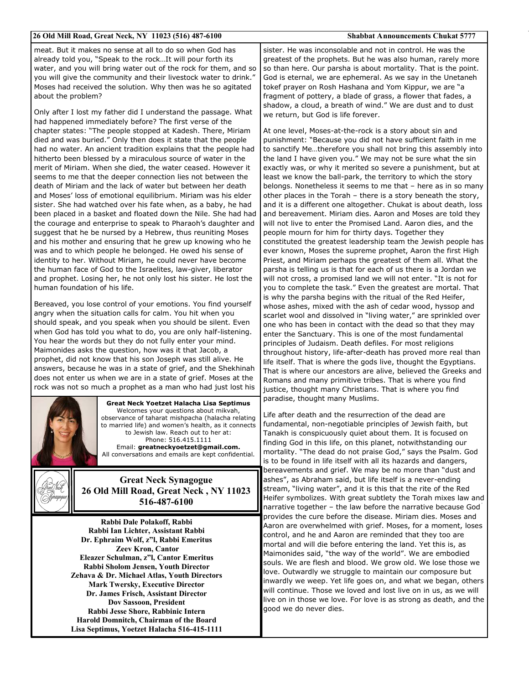| 26 Old Mill Road, Great Neck, NY 11023 (516) 487-6100                                                                                                                                                                                                                                                                                                                                                                                                                                                                                                                                                                                                                                                                                                                                                                                                                                                                                                                                                                                                                                                                                                                | <b>Shabbat Announcements Chukat 5777</b>                                                                                                                                                                                                                                                                                                                                                                                                                                                                                                                                                                                                                                                                                                                                                                                                                                                                                                                                                                                                                                                                                                                                                                |  |
|----------------------------------------------------------------------------------------------------------------------------------------------------------------------------------------------------------------------------------------------------------------------------------------------------------------------------------------------------------------------------------------------------------------------------------------------------------------------------------------------------------------------------------------------------------------------------------------------------------------------------------------------------------------------------------------------------------------------------------------------------------------------------------------------------------------------------------------------------------------------------------------------------------------------------------------------------------------------------------------------------------------------------------------------------------------------------------------------------------------------------------------------------------------------|---------------------------------------------------------------------------------------------------------------------------------------------------------------------------------------------------------------------------------------------------------------------------------------------------------------------------------------------------------------------------------------------------------------------------------------------------------------------------------------------------------------------------------------------------------------------------------------------------------------------------------------------------------------------------------------------------------------------------------------------------------------------------------------------------------------------------------------------------------------------------------------------------------------------------------------------------------------------------------------------------------------------------------------------------------------------------------------------------------------------------------------------------------------------------------------------------------|--|
| meat. But it makes no sense at all to do so when God has<br>already told you, "Speak to the rockIt will pour forth its<br>water, and you will bring water out of the rock for them, and so<br>you will give the community and their livestock water to drink."<br>Moses had received the solution. Why then was he so agitated<br>about the problem?<br>Only after I lost my father did I understand the passage. What<br>had happened immediately before? The first verse of the                                                                                                                                                                                                                                                                                                                                                                                                                                                                                                                                                                                                                                                                                    | sister. He was inconsolable and not in control. He was the<br>greatest of the prophets. But he was also human, rarely more<br>so than here. Our parsha is about mortality. That is the point.<br>God is eternal, we are ephemeral. As we say in the Unetaneh<br>tokef prayer on Rosh Hashana and Yom Kippur, we are "a<br>fragment of pottery, a blade of grass, a flower that fades, a<br>shadow, a cloud, a breath of wind." We are dust and to dust<br>we return, but God is life forever.                                                                                                                                                                                                                                                                                                                                                                                                                                                                                                                                                                                                                                                                                                           |  |
| chapter states: "The people stopped at Kadesh. There, Miriam<br>died and was buried." Only then does it state that the people<br>had no water. An ancient tradition explains that the people had<br>hitherto been blessed by a miraculous source of water in the<br>merit of Miriam. When she died, the water ceased. However it<br>seems to me that the deeper connection lies not between the<br>death of Miriam and the lack of water but between her death<br>and Moses' loss of emotional equilibrium. Miriam was his elder<br>sister. She had watched over his fate when, as a baby, he had<br>been placed in a basket and floated down the Nile. She had had<br>the courage and enterprise to speak to Pharaoh's daughter and<br>suggest that he be nursed by a Hebrew, thus reuniting Moses<br>and his mother and ensuring that he grew up knowing who he<br>was and to which people he belonged. He owed his sense of<br>identity to her. Without Miriam, he could never have become<br>the human face of God to the Israelites, law-giver, liberator<br>and prophet. Losing her, he not only lost his sister. He lost the<br>human foundation of his life. | At one level, Moses-at-the-rock is a story about sin and<br>punishment: "Because you did not have sufficient faith in me<br>to sanctify Metherefore you shall not bring this assembly into<br>the land I have given you." We may not be sure what the sin<br>exactly was, or why it merited so severe a punishment, but at<br>least we know the ball-park, the territory to which the story<br>belongs. Nonetheless it seems to me that - here as in so many<br>other places in the Torah - there is a story beneath the story,<br>and it is a different one altogether. Chukat is about death, loss<br>and bereavement. Miriam dies. Aaron and Moses are told they<br>will not live to enter the Promised Land. Aaron dies, and the<br>people mourn for him for thirty days. Together they<br>constituted the greatest leadership team the Jewish people has<br>ever known, Moses the supreme prophet, Aaron the first High<br>Priest, and Miriam perhaps the greatest of them all. What the<br>parsha is telling us is that for each of us there is a Jordan we<br>will not cross, a promised land we will not enter. "It is not for<br>you to complete the task." Even the greatest are mortal. That |  |
| Bereaved, you lose control of your emotions. You find yourself<br>angry when the situation calls for calm. You hit when you<br>should speak, and you speak when you should be silent. Even<br>when God has told you what to do, you are only half-listening.<br>You hear the words but they do not fully enter your mind.<br>Maimonides asks the question, how was it that Jacob, a<br>prophet, did not know that his son Joseph was still alive. He<br>answers, because he was in a state of grief, and the Shekhinah<br>does not enter us when we are in a state of grief. Moses at the<br>rock was not so much a prophet as a man who had just lost his                                                                                                                                                                                                                                                                                                                                                                                                                                                                                                           | is why the parsha begins with the ritual of the Red Heifer,<br>whose ashes, mixed with the ash of cedar wood, hyssop and<br>scarlet wool and dissolved in "living water," are sprinkled over<br>one who has been in contact with the dead so that they may<br>enter the Sanctuary. This is one of the most fundamental<br>principles of Judaism. Death defiles. For most religions<br>throughout history, life-after-death has proved more real than<br>life itself. That is where the gods live, thought the Egyptians.<br>That is where our ancestors are alive, believed the Greeks and<br>Romans and many primitive tribes. That is where you find<br>justice, thought many Christians. That is where you find<br>paradise, thought many Muslims.                                                                                                                                                                                                                                                                                                                                                                                                                                                   |  |
| <b>Great Neck Yoetzet Halacha Lisa Septimus</b><br>Welcomes your questions about mikvah,<br>observance of taharat mishpacha (halacha relating<br>to married life) and women's health, as it connects<br>to Jewish law. Reach out to her at:<br>Phone: 516.415.1111<br>Email: greatneckyoetzet@gmail.com.<br>All conversations and emails are kept confidential.                                                                                                                                                                                                                                                                                                                                                                                                                                                                                                                                                                                                                                                                                                                                                                                                      | Life after death and the resurrection of the dead are<br>fundamental, non-negotiable principles of Jewish faith, but<br>Tanakh is conspicuously quiet about them. It is focused on<br>finding God in this life, on this planet, notwithstanding our<br>mortality. "The dead do not praise God," says the Psalm. God<br>is to be found in life itself with all its hazards and dangers,<br>bereavements and grief. We may be no more than "dust and                                                                                                                                                                                                                                                                                                                                                                                                                                                                                                                                                                                                                                                                                                                                                      |  |
| <b>Great Neck Synagogue</b><br>26 Old Mill Road, Great Neck, NY 11023<br>516-487-6100                                                                                                                                                                                                                                                                                                                                                                                                                                                                                                                                                                                                                                                                                                                                                                                                                                                                                                                                                                                                                                                                                | ashes", as Abraham said, but life itself is a never-ending<br>stream, "living water", and it is this that the rite of the Red<br>Heifer symbolizes. With great subtlety the Torah mixes law and<br>narrative together - the law before the narrative because God                                                                                                                                                                                                                                                                                                                                                                                                                                                                                                                                                                                                                                                                                                                                                                                                                                                                                                                                        |  |
| Rabbi Dale Polakoff, Rabbi<br>Rabbi Ian Lichter, Assistant Rabbi<br>Dr. Ephraim Wolf, z"l, Rabbi Emeritus<br><b>Zeev Kron, Cantor</b><br>Eleazer Schulman, z"l, Cantor Emeritus<br>Rabbi Sholom Jensen, Youth Director<br>Zehava & Dr. Michael Atlas, Youth Directors<br><b>Mark Twersky, Executive Director</b><br>Dr. James Frisch, Assistant Director<br>Dov Sassoon, President<br>Rabbi Jesse Shore, Rabbinic Intern                                                                                                                                                                                                                                                                                                                                                                                                                                                                                                                                                                                                                                                                                                                                             | provides the cure before the disease. Miriam dies. Moses and<br>Aaron are overwhelmed with grief. Moses, for a moment, loses<br>control, and he and Aaron are reminded that they too are<br>mortal and will die before entering the land. Yet this is, as<br>Maimonides said, "the way of the world". We are embodied<br>souls. We are flesh and blood. We grow old. We lose those we<br>love. Outwardly we struggle to maintain our composure but<br>inwardly we weep. Yet life goes on, and what we began, others<br>will continue. Those we loved and lost live on in us, as we will<br>live on in those we love. For love is as strong as death, and the<br>good we do never dies.                                                                                                                                                                                                                                                                                                                                                                                                                                                                                                                  |  |

**Harold Domnitch, Chairman of the Board Lisa Septimus, Yoetzet Halacha 516-415-1111**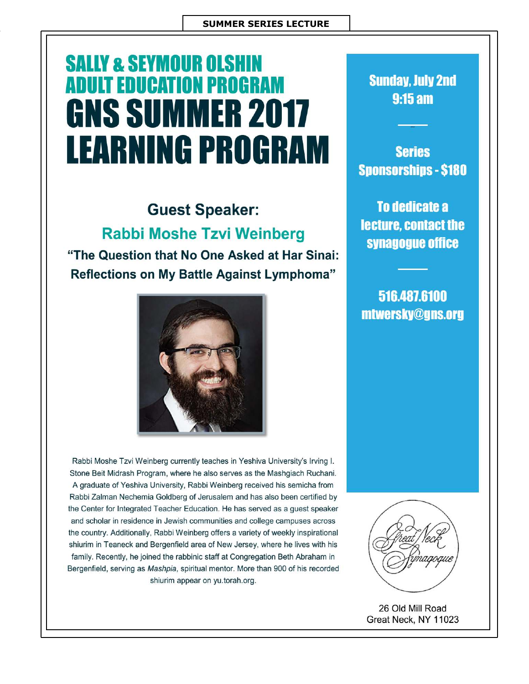# **SALLY & SEYMOUR OLSHIN ADULT EDUCATION PROGRAM GNS SUMMER 2017 LEARNING PROGRAM**

## **Guest Speaker: Rabbi Moshe Tzvi Weinberg**

"The Question that No One Asked at Har Sinai: **Reflections on My Battle Against Lymphoma"** 



Rabbi Moshe Tzvi Weinberg currently teaches in Yeshiva University's Irving I. Stone Beit Midrash Program, where he also serves as the Mashgiach Ruchani. A graduate of Yeshiva University, Rabbi Weinberg received his semicha from Rabbi Zalman Nechemia Goldberg of Jerusalem and has also been certified by the Center for Integrated Teacher Education. He has served as a guest speaker and scholar in residence in Jewish communities and college campuses across the country. Additionally, Rabbi Weinberg offers a variety of weekly inspirational shiurim in Teaneck and Bergenfield area of New Jersey, where he lives with his family. Recently, he joined the rabbinic staff at Congregation Beth Abraham in Bergenfield, serving as Mashpia, spiritual mentor. More than 900 of his recorded shiurim appear on yu.torah.org.

**Sunday, July 2nd**  $9:15 \text{ am}$ 

**Series Sponsorships - \$180** 

**To dedicate a** lecture, contact the synagogue office

516.487.6100 mtwersky@gns.org



26 Old Mill Road Great Neck, NY 11023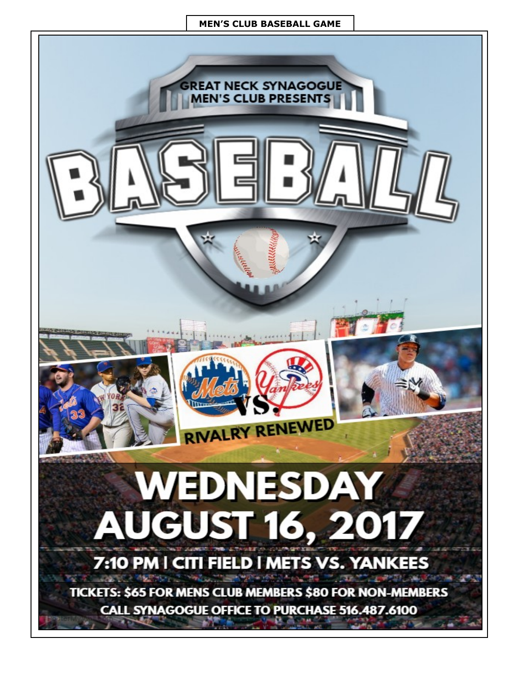#### **MEN'S CLUB BASEBALL GAME**

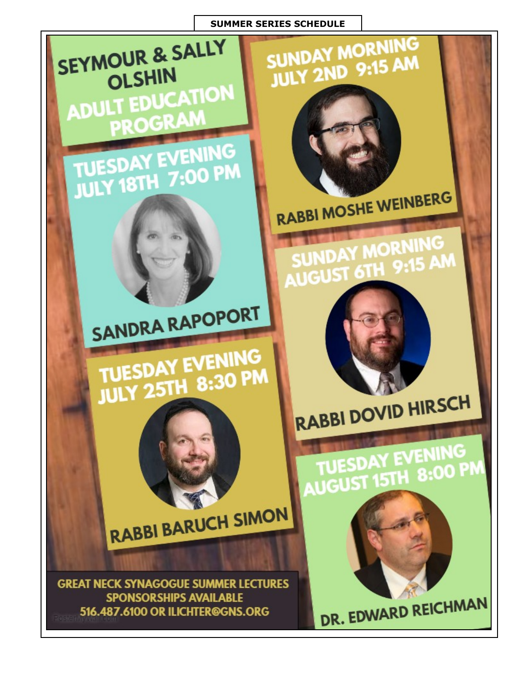#### **SUMMER SERIES SCHEDULE**

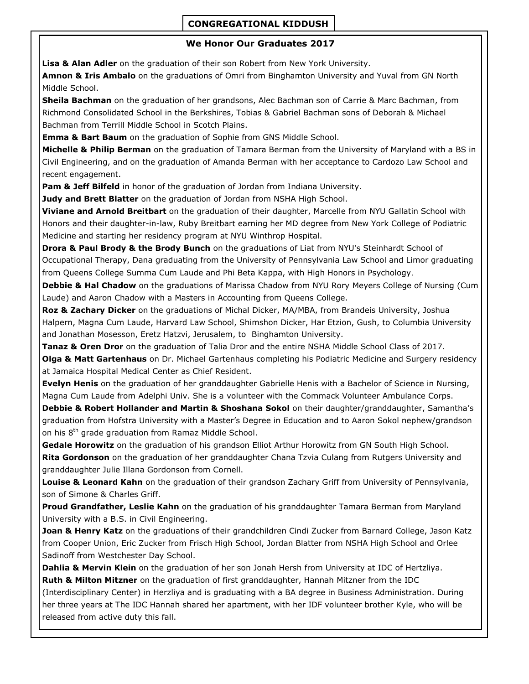#### **CONGREGATIONAL KIDDUSH**

#### **We Honor Our Graduates 2017**

**Lisa & Alan Adler** on the graduation of their son Robert from New York University.

**Amnon & Iris Ambalo** on the graduations of Omri from Binghamton University and Yuval from GN North Middle School.

**Sheila Bachman** on the graduation of her grandsons, Alec Bachman son of Carrie & Marc Bachman, from Richmond Consolidated School in the Berkshires, Tobias & Gabriel Bachman sons of Deborah & Michael Bachman from Terrill Middle School in Scotch Plains.

**Emma & Bart Baum** on the graduation of Sophie from GNS Middle School.

**Michelle & Philip Berman** on the graduation of Tamara Berman from the University of Maryland with a BS in Civil Engineering, and on the graduation of Amanda Berman with her acceptance to Cardozo Law School and recent engagement.

**Pam & Jeff Bilfeld** in honor of the graduation of Jordan from Indiana University.

**Judy and Brett Blatter** on the graduation of Jordan from NSHA High School.

**Viviane and Arnold Breitbart** on the graduation of their daughter, Marcelle from NYU Gallatin School with Honors and their daughter-in-law, Ruby Breitbart earning her MD degree from New York College of Podiatric Medicine and starting her residency program at NYU Winthrop Hospital.

**Drora & Paul Brody & the Brody Bunch** on the graduations of Liat from NYU's Steinhardt School of Occupational Therapy, Dana graduating from the University of Pennsylvania Law School and Limor graduating from Queens College Summa Cum Laude and Phi Beta Kappa, with High Honors in Psychology.

**Debbie & Hal Chadow** on the graduations of Marissa Chadow from NYU Rory Meyers College of Nursing (Cum Laude) and Aaron Chadow with a Masters in Accounting from Queens College.

**Roz & Zachary Dicker** on the graduations of Michal Dicker, MA/MBA, from Brandeis University, Joshua Halpern, Magna Cum Laude, Harvard Law School, Shimshon Dicker, Har Etzion, Gush, to Columbia University and Jonathan Mosesson, Eretz Hatzvi, Jerusalem, to Binghamton University.

**Tanaz & Oren Dror** on the graduation of Talia Dror and the entire NSHA Middle School Class of 2017. **Olga & Matt Gartenhaus** on Dr. Michael Gartenhaus completing his Podiatric Medicine and Surgery residency at Jamaica Hospital Medical Center as Chief Resident.

**Evelyn Henis** on the graduation of her granddaughter Gabrielle Henis with a Bachelor of Science in Nursing, Magna Cum Laude from Adelphi Univ. She is a volunteer with the Commack Volunteer Ambulance Corps.

**Debbie & Robert Hollander and Martin & Shoshana Sokol** on their daughter/granddaughter, Samantha's graduation from Hofstra University with a Master's Degree in Education and to Aaron Sokol nephew/grandson on his 8<sup>th</sup> grade graduation from Ramaz Middle School.

**Gedale Horowitz** on the graduation of his grandson Elliot Arthur Horowitz from GN South High School. **Rita Gordonson** on the graduation of her granddaughter Chana Tzvia Culang from Rutgers University and granddaughter Julie Illana Gordonson from Cornell.

**Louise & Leonard Kahn** on the graduation of their grandson Zachary Griff from University of Pennsylvania, son of Simone & Charles Griff.

**Proud Grandfather, Leslie Kahn** on the graduation of his granddaughter Tamara Berman from Maryland University with a B.S. in Civil Engineering.

**Joan & Henry Katz** on the graduations of their grandchildren Cindi Zucker from Barnard College, Jason Katz from Cooper Union, Eric Zucker from Frisch High School, Jordan Blatter from NSHA High School and Orlee Sadinoff from Westchester Day School.

**Dahlia & Mervin Klein** on the graduation of her son Jonah Hersh from University at IDC of Hertzliya. **Ruth & Milton Mitzner** on the graduation of first granddaughter, Hannah Mitzner from the IDC (Interdisciplinary Center) in Herzliya and is graduating with a BA degree in Business Administration. During

her three years at The IDC Hannah shared her apartment, with her IDF volunteer brother Kyle, who will be released from active duty this fall.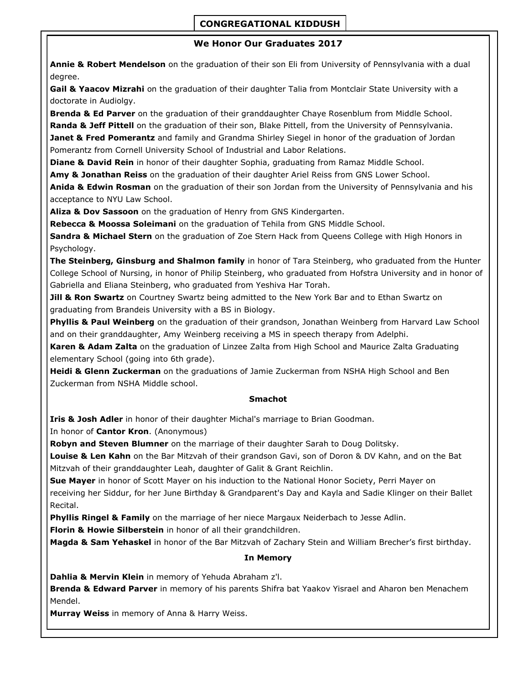### **CONGREGATIONAL KIDDUSH**

#### **We Honor Our Graduates 2017**

**Annie & Robert Mendelson** on the graduation of their son Eli from University of Pennsylvania with a dual degree.

**Gail & Yaacov Mizrahi** on the graduation of their daughter Talia from Montclair State University with a doctorate in Audiolgy.

**Brenda & Ed Parver** on the graduation of their granddaughter Chaye Rosenblum from Middle School. **Randa & Jeff Pittell** on the graduation of their son, Blake Pittell, from the University of Pennsylvania.

**Janet & Fred Pomerantz** and family and Grandma Shirley Siegel in honor of the graduation of Jordan Pomerantz from Cornell University School of Industrial and Labor Relations.

**Diane & David Rein** in honor of their daughter Sophia, graduating from Ramaz Middle School.

**Amy & Jonathan Reiss** on the graduation of their daughter Ariel Reiss from GNS Lower School.

**Anida & Edwin Rosman** on the graduation of their son Jordan from the University of Pennsylvania and his acceptance to NYU Law School.

**Aliza & Dov Sassoon** on the graduation of Henry from GNS Kindergarten.

**Rebecca & Moossa Soleimani** on the graduation of Tehila from GNS Middle School.

**Sandra & Michael Stern** on the graduation of Zoe Stern Hack from Queens College with High Honors in Psychology.

**The Steinberg, Ginsburg and Shalmon family** in honor of Tara Steinberg, who graduated from the Hunter College School of Nursing, in honor of Philip Steinberg, who graduated from Hofstra University and in honor of Gabriella and Eliana Steinberg, who graduated from Yeshiva Har Torah.

**Jill & Ron Swartz** on Courtney Swartz being admitted to the New York Bar and to Ethan Swartz on graduating from Brandeis University with a BS in Biology.

**Phyllis & Paul Weinberg** on the graduation of their grandson, Jonathan Weinberg from Harvard Law School and on their granddaughter, Amy Weinberg receiving a MS in speech therapy from Adelphi.

**Karen & Adam Zalta** on the graduation of Linzee Zalta from High School and Maurice Zalta Graduating elementary School (going into 6th grade).

**Heidi & Glenn Zuckerman** on the graduations of Jamie Zuckerman from NSHA High School and Ben Zuckerman from NSHA Middle school.

#### **Smachot**

**Iris & Josh Adler** in honor of their daughter Michal's marriage to Brian Goodman.

In honor of **Cantor Kron**. (Anonymous)

**Robyn and Steven Blumner** on the marriage of their daughter Sarah to Doug Dolitsky.

**Louise & Len Kahn** on the Bar Mitzvah of their grandson Gavi, son of Doron & DV Kahn, and on the Bat Mitzvah of their granddaughter Leah, daughter of Galit & Grant Reichlin.

**Sue Mayer** in honor of Scott Mayer on his induction to the National Honor Society, Perri Mayer on receiving her Siddur, for her June Birthday & Grandparent's Day and Kayla and Sadie Klinger on their Ballet

Recital.

**Phyllis Ringel & Family** on the marriage of her niece Margaux Neiderbach to Jesse Adlin.

**Florin & Howie Silberstein** in honor of all their grandchildren.

**Magda & Sam Yehaskel** in honor of the Bar Mitzvah of Zachary Stein and William Brecher's first birthday.

#### **In Memory**

**Dahlia & Mervin Klein** in memory of Yehuda Abraham z'l.

**Brenda & Edward Parver** in memory of his parents Shifra bat Yaakov Yisrael and Aharon ben Menachem Mendel.

**Murray Weiss** in memory of Anna & Harry Weiss.